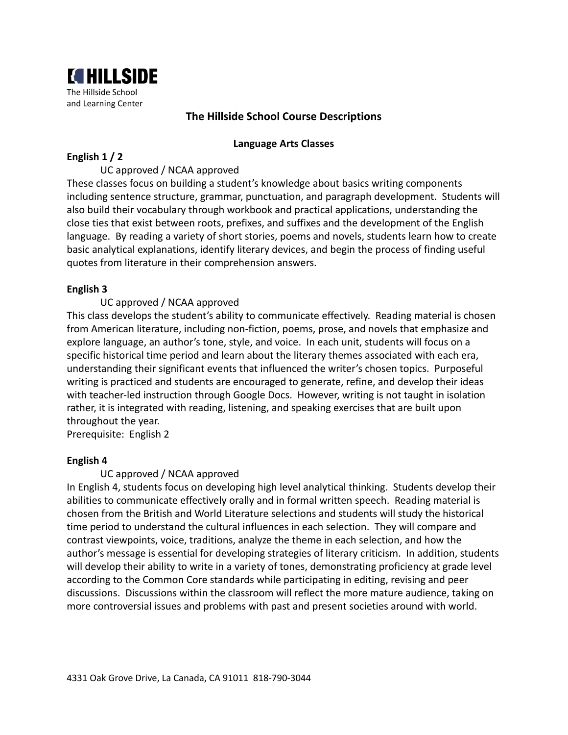

# **The Hillside School Course Descriptions**

### **Language Arts Classes**

### **English 1 / 2**

## UC approved / NCAA approved

These classes focus on building a student's knowledge about basics writing components including sentence structure, grammar, punctuation, and paragraph development. Students will also build their vocabulary through workbook and practical applications, understanding the close ties that exist between roots, prefixes, and suffixes and the development of the English language. By reading a variety of short stories, poems and novels, students learn how to create basic analytical explanations, identify literary devices, and begin the process of finding useful quotes from literature in their comprehension answers.

## **English 3**

### UC approved / NCAA approved

This class develops the student's ability to communicate effectively. Reading material is chosen from American literature, including non-fiction, poems, prose, and novels that emphasize and explore language, an author's tone, style, and voice. In each unit, students will focus on a specific historical time period and learn about the literary themes associated with each era, understanding their significant events that influenced the writer's chosen topics. Purposeful writing is practiced and students are encouraged to generate, refine, and develop their ideas with teacher-led instruction through Google Docs. However, writing is not taught in isolation rather, it is integrated with reading, listening, and speaking exercises that are built upon throughout the year.

Prerequisite: English 2

#### **English 4**

## UC approved / NCAA approved

In English 4, students focus on developing high level analytical thinking. Students develop their abilities to communicate effectively orally and in formal written speech. Reading material is chosen from the British and World Literature selections and students will study the historical time period to understand the cultural influences in each selection. They will compare and contrast viewpoints, voice, traditions, analyze the theme in each selection, and how the author's message is essential for developing strategies of literary criticism. In addition, students will develop their ability to write in a variety of tones, demonstrating proficiency at grade level according to the Common Core standards while participating in editing, revising and peer discussions. Discussions within the classroom will reflect the more mature audience, taking on more controversial issues and problems with past and present societies around with world.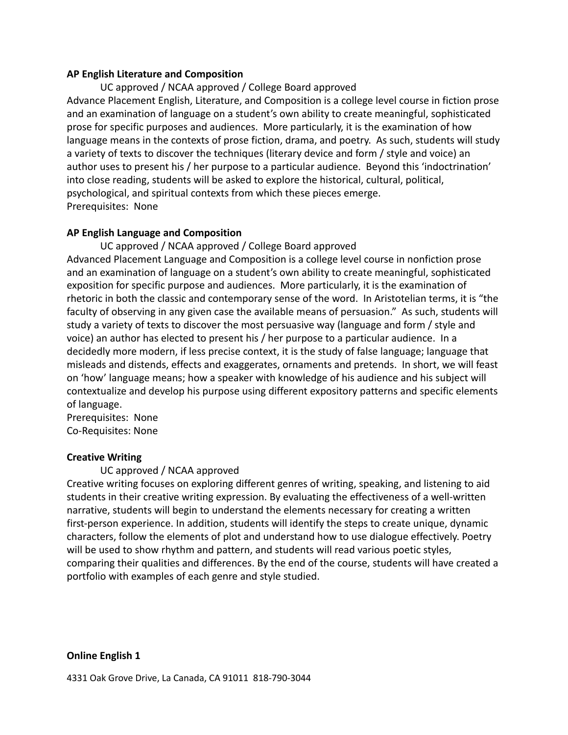#### **AP English Literature and Composition**

UC approved / NCAA approved / College Board approved Advance Placement English, Literature, and Composition is a college level course in fiction prose and an examination of language on a student's own ability to create meaningful, sophisticated prose for specific purposes and audiences. More particularly, it is the examination of how language means in the contexts of prose fiction, drama, and poetry. As such, students will study a variety of texts to discover the techniques (literary device and form / style and voice) an author uses to present his / her purpose to a particular audience. Beyond this 'indoctrination' into close reading, students will be asked to explore the historical, cultural, political, psychological, and spiritual contexts from which these pieces emerge. Prerequisites: None

## **AP English Language and Composition**

UC approved / NCAA approved / College Board approved Advanced Placement Language and Composition is a college level course in nonfiction prose and an examination of language on a student's own ability to create meaningful, sophisticated exposition for specific purpose and audiences. More particularly, it is the examination of rhetoric in both the classic and contemporary sense of the word. In Aristotelian terms, it is "the faculty of observing in any given case the available means of persuasion." As such, students will study a variety of texts to discover the most persuasive way (language and form / style and voice) an author has elected to present his / her purpose to a particular audience. In a decidedly more modern, if less precise context, it is the study of false language; language that misleads and distends, effects and exaggerates, ornaments and pretends. In short, we will feast on 'how' language means; how a speaker with knowledge of his audience and his subject will contextualize and develop his purpose using different expository patterns and specific elements of language.

Prerequisites: None Co-Requisites: None

## **Creative Writing**

UC approved / NCAA approved

Creative writing focuses on exploring different genres of writing, speaking, and listening to aid students in their creative writing expression. By evaluating the effectiveness of a well-written narrative, students will begin to understand the elements necessary for creating a written first-person experience. In addition, students will identify the steps to create unique, dynamic characters, follow the elements of plot and understand how to use dialogue effectively. Poetry will be used to show rhythm and pattern, and students will read various poetic styles, comparing their qualities and differences. By the end of the course, students will have created a portfolio with examples of each genre and style studied.

**Online English 1**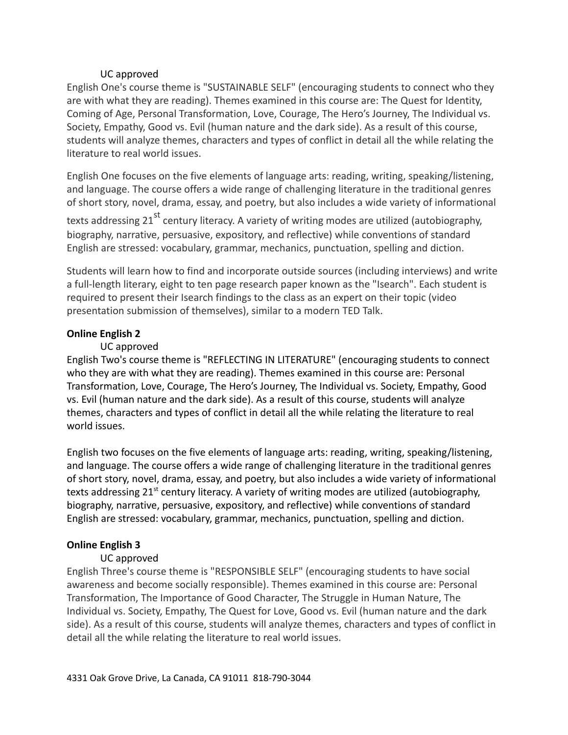## UC approved

English One's course theme is "SUSTAINABLE SELF" (encouraging students to connect who they are with what they are reading). Themes examined in this course are: The Quest for Identity, Coming of Age, Personal Transformation, Love, Courage, The Hero's Journey, The Individual vs. Society, Empathy, Good vs. Evil (human nature and the dark side). As a result of this course, students will analyze themes, characters and types of conflict in detail all the while relating the literature to real world issues.

English One focuses on the five elements of language arts: reading, writing, speaking/listening, and language. The course offers a wide range of challenging literature in the traditional genres of short story, novel, drama, essay, and poetry, but also includes a wide variety of informational

texts addressing 21<sup>st</sup> century literacy. A variety of writing modes are utilized (autobiography, biography, narrative, persuasive, expository, and reflective) while conventions of standard English are stressed: vocabulary, grammar, mechanics, punctuation, spelling and diction.

Students will learn how to find and incorporate outside sources (including interviews) and write a full-length literary, eight to ten page research paper known as the "Isearch". Each student is required to present their Isearch findings to the class as an expert on their topic (video presentation submission of themselves), similar to a modern TED Talk.

# **Online English 2**

# UC approved

English Two's course theme is "REFLECTING IN LITERATURE" (encouraging students to connect who they are with what they are reading). Themes examined in this course are: Personal Transformation, Love, Courage, The Hero's Journey, The Individual vs. Society, Empathy, Good vs. Evil (human nature and the dark side). As a result of this course, students will analyze themes, characters and types of conflict in detail all the while relating the literature to real world issues.

English two focuses on the five elements of language arts: reading, writing, speaking/listening, and language. The course offers a wide range of challenging literature in the traditional genres of short story, novel, drama, essay, and poetry, but also includes a wide variety of informational texts addressing 21<sup>st</sup> century literacy. A variety of writing modes are utilized (autobiography, biography, narrative, persuasive, expository, and reflective) while conventions of standard English are stressed: vocabulary, grammar, mechanics, punctuation, spelling and diction.

# **Online English 3**

# UC approved

English Three's course theme is "RESPONSIBLE SELF" (encouraging students to have social awareness and become socially responsible). Themes examined in this course are: Personal Transformation, The Importance of Good Character, The Struggle in Human Nature, The Individual vs. Society, Empathy, The Quest for Love, Good vs. Evil (human nature and the dark side). As a result of this course, students will analyze themes, characters and types of conflict in detail all the while relating the literature to real world issues.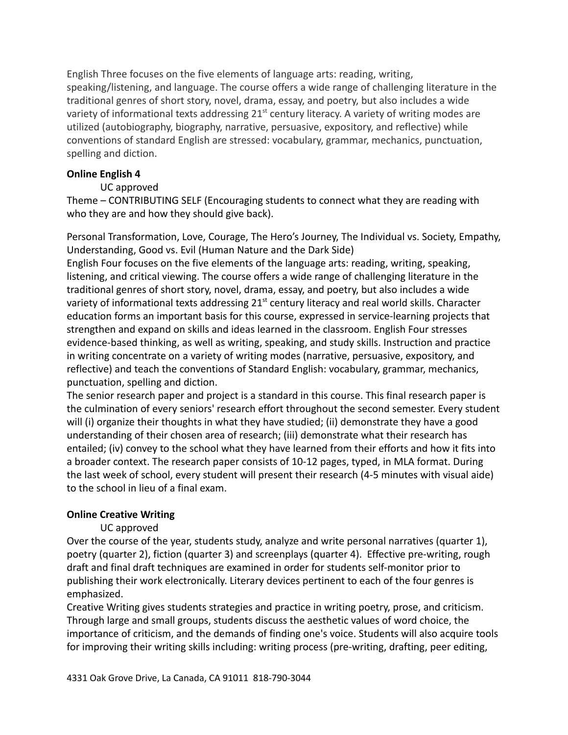English Three focuses on the five elements of language arts: reading, writing, speaking/listening, and language. The course offers a wide range of challenging literature in the traditional genres of short story, novel, drama, essay, and poetry, but also includes a wide variety of informational texts addressing  $21<sup>st</sup>$  century literacy. A variety of writing modes are utilized (autobiography, biography, narrative, persuasive, expository, and reflective) while conventions of standard English are stressed: vocabulary, grammar, mechanics, punctuation, spelling and diction.

## **Online English 4**

### UC approved

Theme – CONTRIBUTING SELF (Encouraging students to connect what they are reading with who they are and how they should give back).

Personal Transformation, Love, Courage, The Hero's Journey, The Individual vs. Society, Empathy, Understanding, Good vs. Evil (Human Nature and the Dark Side)

English Four focuses on the five elements of the language arts: reading, writing, speaking, listening, and critical viewing. The course offers a wide range of challenging literature in the traditional genres of short story, novel, drama, essay, and poetry, but also includes a wide variety of informational texts addressing 21<sup>st</sup> century literacy and real world skills. Character education forms an important basis for this course, expressed in service-learning projects that strengthen and expand on skills and ideas learned in the classroom. English Four stresses evidence-based thinking, as well as writing, speaking, and study skills. Instruction and practice in writing concentrate on a variety of writing modes (narrative, persuasive, expository, and reflective) and teach the conventions of Standard English: vocabulary, grammar, mechanics, punctuation, spelling and diction.

The senior research paper and project is a standard in this course. This final research paper is the culmination of every seniors' research effort throughout the second semester. Every student will (i) organize their thoughts in what they have studied; (ii) demonstrate they have a good understanding of their chosen area of research; (iii) demonstrate what their research has entailed; (iv) convey to the school what they have learned from their efforts and how it fits into a broader context. The research paper consists of 10-12 pages, typed, in MLA format. During the last week of school, every student will present their research (4-5 minutes with visual aide) to the school in lieu of a final exam.

#### **Online Creative Writing**

## UC approved

Over the course of the year, students study, analyze and write personal narratives (quarter 1), poetry (quarter 2), fiction (quarter 3) and screenplays (quarter 4). Effective pre-writing, rough draft and final draft techniques are examined in order for students self-monitor prior to publishing their work electronically. Literary devices pertinent to each of the four genres is emphasized.

Creative Writing gives students strategies and practice in writing poetry, prose, and criticism. Through large and small groups, students discuss the aesthetic values of word choice, the importance of criticism, and the demands of finding one's voice. Students will also acquire tools for improving their writing skills including: writing process (pre-writing, drafting, peer editing,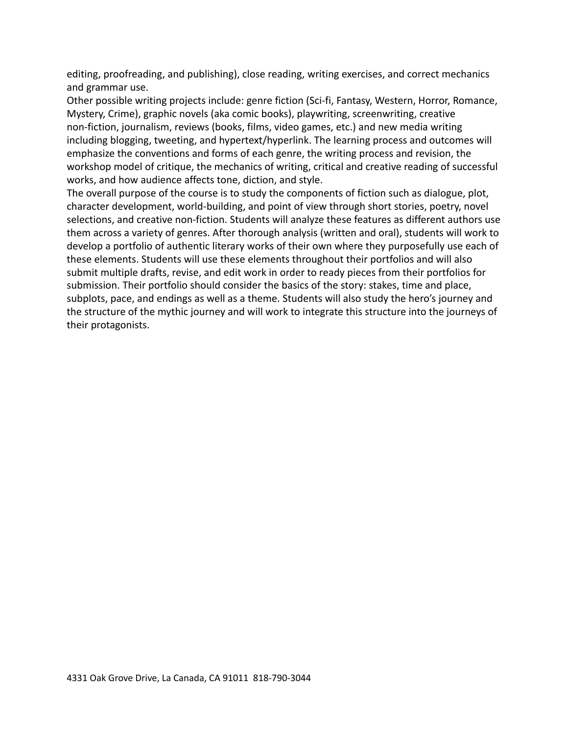editing, proofreading, and publishing), close reading, writing exercises, and correct mechanics and grammar use.

Other possible writing projects include: genre fiction (Sci-fi, Fantasy, Western, Horror, Romance, Mystery, Crime), graphic novels (aka comic books), playwriting, screenwriting, creative non-fiction, journalism, reviews (books, films, video games, etc.) and new media writing including blogging, tweeting, and hypertext/hyperlink. The learning process and outcomes will emphasize the conventions and forms of each genre, the writing process and revision, the workshop model of critique, the mechanics of writing, critical and creative reading of successful works, and how audience affects tone, diction, and style.

The overall purpose of the course is to study the components of fiction such as dialogue, plot, character development, world-building, and point of view through short stories, poetry, novel selections, and creative non-fiction. Students will analyze these features as different authors use them across a variety of genres. After thorough analysis (written and oral), students will work to develop a portfolio of authentic literary works of their own where they purposefully use each of these elements. Students will use these elements throughout their portfolios and will also submit multiple drafts, revise, and edit work in order to ready pieces from their portfolios for submission. Their portfolio should consider the basics of the story: stakes, time and place, subplots, pace, and endings as well as a theme. Students will also study the hero's journey and the structure of the mythic journey and will work to integrate this structure into the journeys of their protagonists.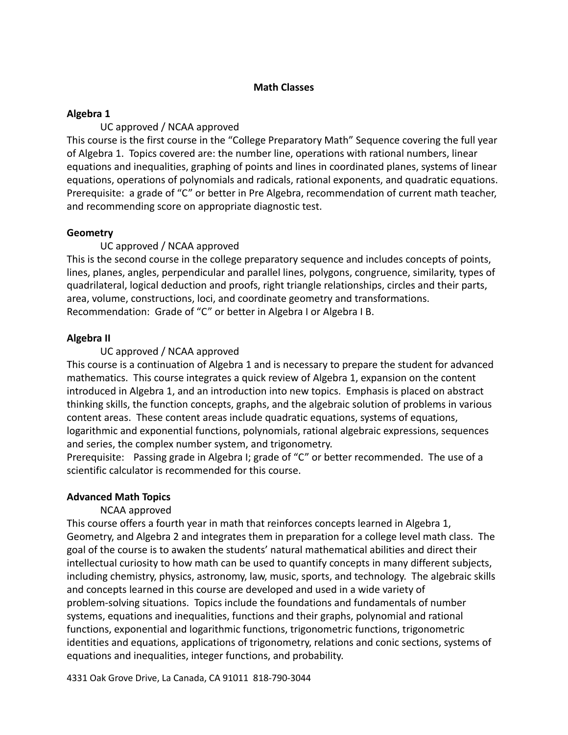## **Math Classes**

## **Algebra 1**

UC approved / NCAA approved

This course is the first course in the "College Preparatory Math" Sequence covering the full year of Algebra 1. Topics covered are: the number line, operations with rational numbers, linear equations and inequalities, graphing of points and lines in coordinated planes, systems of linear equations, operations of polynomials and radicals, rational exponents, and quadratic equations. Prerequisite: a grade of "C" or better in Pre Algebra, recommendation of current math teacher, and recommending score on appropriate diagnostic test.

# **Geometry**

# UC approved / NCAA approved

This is the second course in the college preparatory sequence and includes concepts of points, lines, planes, angles, perpendicular and parallel lines, polygons, congruence, similarity, types of quadrilateral, logical deduction and proofs, right triangle relationships, circles and their parts, area, volume, constructions, loci, and coordinate geometry and transformations. Recommendation: Grade of "C" or better in Algebra I or Algebra I B.

# **Algebra II**

# UC approved / NCAA approved

This course is a continuation of Algebra 1 and is necessary to prepare the student for advanced mathematics. This course integrates a quick review of Algebra 1, expansion on the content introduced in Algebra 1, and an introduction into new topics. Emphasis is placed on abstract thinking skills, the function concepts, graphs, and the algebraic solution of problems in various content areas. These content areas include quadratic equations, systems of equations, logarithmic and exponential functions, polynomials, rational algebraic expressions, sequences and series, the complex number system, and trigonometry.

Prerequisite: Passing grade in Algebra I; grade of "C" or better recommended. The use of a scientific calculator is recommended for this course.

## **Advanced Math Topics**

# NCAA approved

This course offers a fourth year in math that reinforces concepts learned in Algebra 1, Geometry, and Algebra 2 and integrates them in preparation for a college level math class. The goal of the course is to awaken the students' natural mathematical abilities and direct their intellectual curiosity to how math can be used to quantify concepts in many different subjects, including chemistry, physics, astronomy, law, music, sports, and technology. The algebraic skills and concepts learned in this course are developed and used in a wide variety of problem-solving situations. Topics include the foundations and fundamentals of number systems, equations and inequalities, functions and their graphs, polynomial and rational functions, exponential and logarithmic functions, trigonometric functions, trigonometric identities and equations, applications of trigonometry, relations and conic sections, systems of equations and inequalities, integer functions, and probability.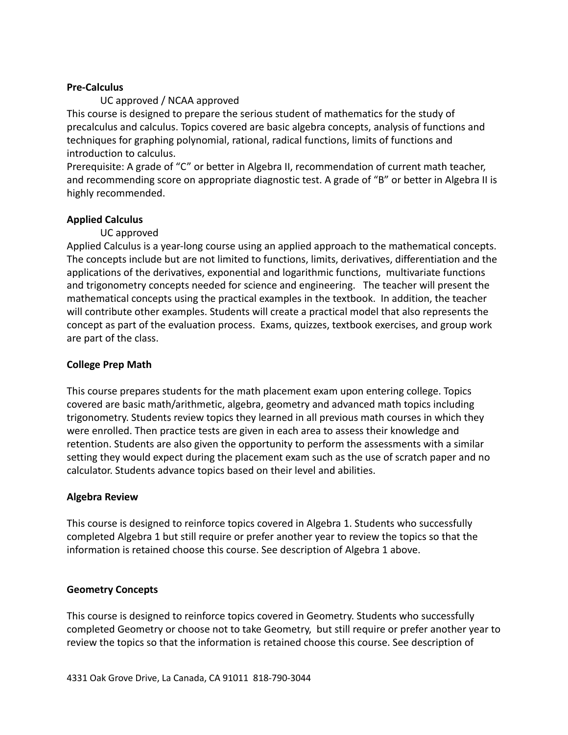### **Pre-Calculus**

## UC approved / NCAA approved

This course is designed to prepare the serious student of mathematics for the study of precalculus and calculus. Topics covered are basic algebra concepts, analysis of functions and techniques for graphing polynomial, rational, radical functions, limits of functions and introduction to calculus.

Prerequisite: A grade of "C" or better in Algebra II, recommendation of current math teacher, and recommending score on appropriate diagnostic test. A grade of "B" or better in Algebra II is highly recommended.

## **Applied Calculus**

## UC approved

Applied Calculus is a year-long course using an applied approach to the mathematical concepts. The concepts include but are not limited to functions, limits, derivatives, differentiation and the applications of the derivatives, exponential and logarithmic functions, multivariate functions and trigonometry concepts needed for science and engineering. The teacher will present the mathematical concepts using the practical examples in the textbook. In addition, the teacher will contribute other examples. Students will create a practical model that also represents the concept as part of the evaluation process. Exams, quizzes, textbook exercises, and group work are part of the class.

### **College Prep Math**

This course prepares students for the math placement exam upon entering college. Topics covered are basic math/arithmetic, algebra, geometry and advanced math topics including trigonometry. Students review topics they learned in all previous math courses in which they were enrolled. Then practice tests are given in each area to assess their knowledge and retention. Students are also given the opportunity to perform the assessments with a similar setting they would expect during the placement exam such as the use of scratch paper and no calculator. Students advance topics based on their level and abilities.

#### **Algebra Review**

This course is designed to reinforce topics covered in Algebra 1. Students who successfully completed Algebra 1 but still require or prefer another year to review the topics so that the information is retained choose this course. See description of Algebra 1 above.

## **Geometry Concepts**

This course is designed to reinforce topics covered in Geometry. Students who successfully completed Geometry or choose not to take Geometry, but still require or prefer another year to review the topics so that the information is retained choose this course. See description of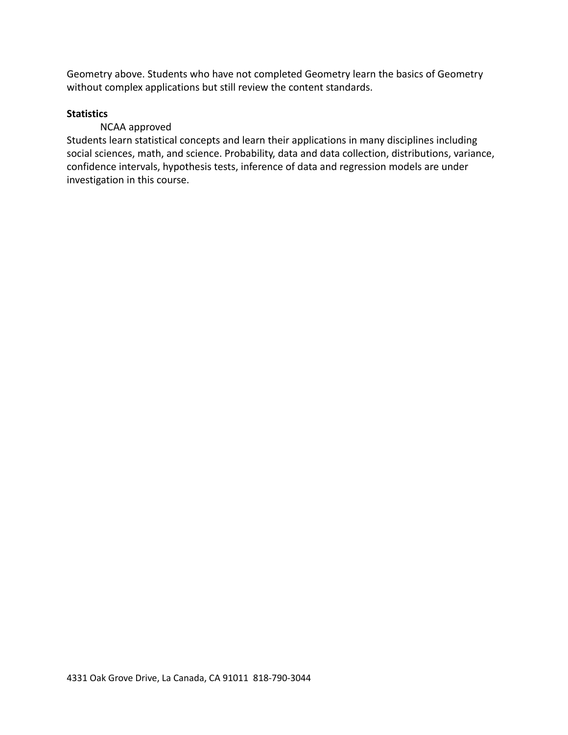Geometry above. Students who have not completed Geometry learn the basics of Geometry without complex applications but still review the content standards.

## **Statistics**

# NCAA approved

Students learn statistical concepts and learn their applications in many disciplines including social sciences, math, and science. Probability, data and data collection, distributions, variance, confidence intervals, hypothesis tests, inference of data and regression models are under investigation in this course.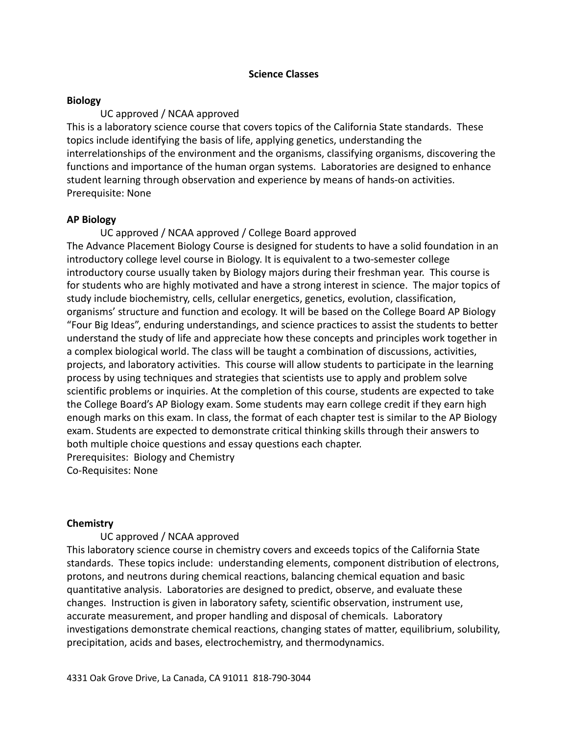### **Science Classes**

### **Biology**

## UC approved / NCAA approved

This is a laboratory science course that covers topics of the California State standards. These topics include identifying the basis of life, applying genetics, understanding the interrelationships of the environment and the organisms, classifying organisms, discovering the functions and importance of the human organ systems. Laboratories are designed to enhance student learning through observation and experience by means of hands-on activities. Prerequisite: None

## **AP Biology**

UC approved / NCAA approved / College Board approved The Advance Placement Biology Course is designed for students to have a solid foundation in an introductory college level course in Biology. It is equivalent to a two-semester college introductory course usually taken by Biology majors during their freshman year. This course is for students who are highly motivated and have a strong interest in science. The major topics of study include biochemistry, cells, cellular energetics, genetics, evolution, classification, organisms' structure and function and ecology. It will be based on the College Board AP Biology "Four Big Ideas", enduring understandings, and science practices to assist the students to better understand the study of life and appreciate how these concepts and principles work together in a complex biological world. The class will be taught a combination of discussions, activities, projects, and laboratory activities. This course will allow students to participate in the learning process by using techniques and strategies that scientists use to apply and problem solve scientific problems or inquiries. At the completion of this course, students are expected to take the College Board's AP Biology exam. Some students may earn college credit if they earn high enough marks on this exam. In class, the format of each chapter test is similar to the AP Biology exam. Students are expected to demonstrate critical thinking skills through their answers to both multiple choice questions and essay questions each chapter. Prerequisites: Biology and Chemistry Co-Requisites: None

## **Chemistry**

## UC approved / NCAA approved

This laboratory science course in chemistry covers and exceeds topics of the California State standards. These topics include: understanding elements, component distribution of electrons, protons, and neutrons during chemical reactions, balancing chemical equation and basic quantitative analysis. Laboratories are designed to predict, observe, and evaluate these changes. Instruction is given in laboratory safety, scientific observation, instrument use, accurate measurement, and proper handling and disposal of chemicals. Laboratory investigations demonstrate chemical reactions, changing states of matter, equilibrium, solubility, precipitation, acids and bases, electrochemistry, and thermodynamics.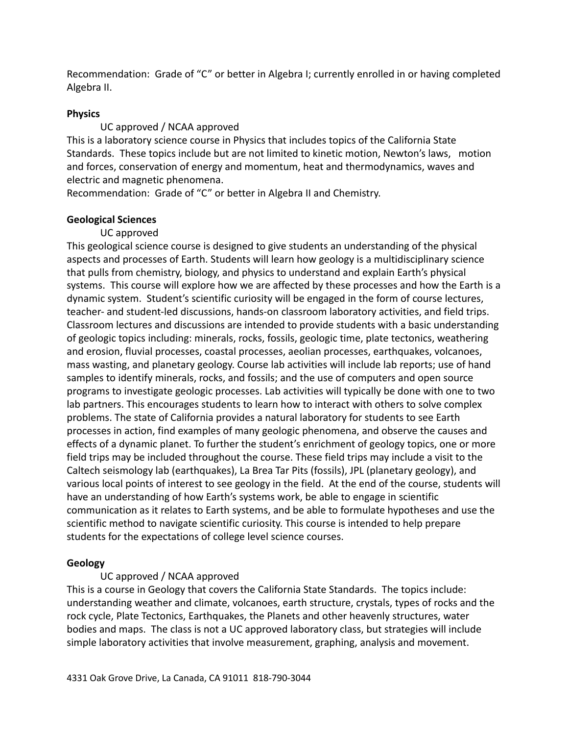Recommendation: Grade of "C" or better in Algebra I; currently enrolled in or having completed Algebra II.

## **Physics**

UC approved / NCAA approved

This is a laboratory science course in Physics that includes topics of the California State Standards. These topics include but are not limited to kinetic motion, Newton's laws, motion and forces, conservation of energy and momentum, heat and thermodynamics, waves and electric and magnetic phenomena.

Recommendation: Grade of "C" or better in Algebra II and Chemistry.

# **Geological Sciences**

# UC approved

This geological science course is designed to give students an understanding of the physical aspects and processes of Earth. Students will learn how geology is a multidisciplinary science that pulls from chemistry, biology, and physics to understand and explain Earth's physical systems. This course will explore how we are affected by these processes and how the Earth is a dynamic system. Student's scientific curiosity will be engaged in the form of course lectures, teacher- and student-led discussions, hands-on classroom laboratory activities, and field trips. Classroom lectures and discussions are intended to provide students with a basic understanding of geologic topics including: minerals, rocks, fossils, geologic time, plate tectonics, weathering and erosion, fluvial processes, coastal processes, aeolian processes, earthquakes, volcanoes, mass wasting, and planetary geology. Course lab activities will include lab reports; use of hand samples to identify minerals, rocks, and fossils; and the use of computers and open source programs to investigate geologic processes. Lab activities will typically be done with one to two lab partners. This encourages students to learn how to interact with others to solve complex problems. The state of California provides a natural laboratory for students to see Earth processes in action, find examples of many geologic phenomena, and observe the causes and effects of a dynamic planet. To further the student's enrichment of geology topics, one or more field trips may be included throughout the course. These field trips may include a visit to the Caltech seismology lab (earthquakes), La Brea Tar Pits (fossils), JPL (planetary geology), and various local points of interest to see geology in the field. At the end of the course, students will have an understanding of how Earth's systems work, be able to engage in scientific communication as it relates to Earth systems, and be able to formulate hypotheses and use the scientific method to navigate scientific curiosity. This course is intended to help prepare students for the expectations of college level science courses.

# **Geology**

# UC approved / NCAA approved

This is a course in Geology that covers the California State Standards. The topics include: understanding weather and climate, volcanoes, earth structure, crystals, types of rocks and the rock cycle, Plate Tectonics, Earthquakes, the Planets and other heavenly structures, water bodies and maps. The class is not a UC approved laboratory class, but strategies will include simple laboratory activities that involve measurement, graphing, analysis and movement.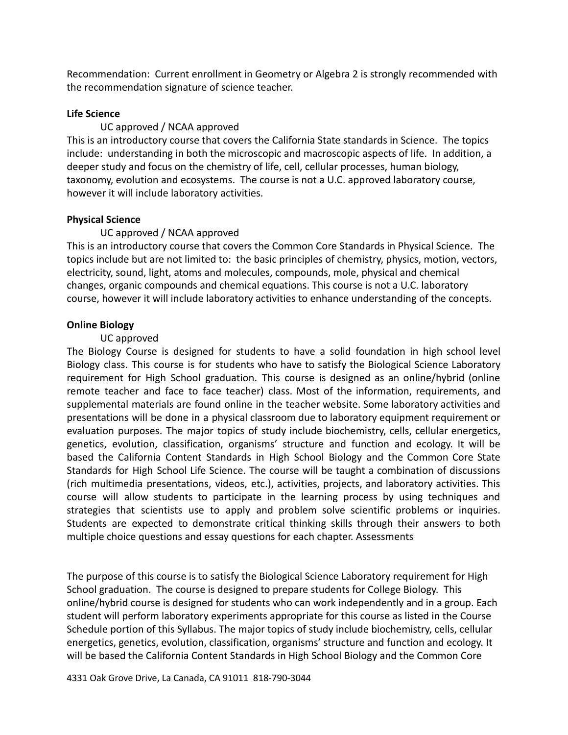Recommendation: Current enrollment in Geometry or Algebra 2 is strongly recommended with the recommendation signature of science teacher.

### **Life Science**

### UC approved / NCAA approved

This is an introductory course that covers the California State standards in Science. The topics include: understanding in both the microscopic and macroscopic aspects of life. In addition, a deeper study and focus on the chemistry of life, cell, cellular processes, human biology, taxonomy, evolution and ecosystems. The course is not a U.C. approved laboratory course, however it will include laboratory activities.

### **Physical Science**

## UC approved / NCAA approved

This is an introductory course that covers the Common Core Standards in Physical Science. The topics include but are not limited to: the basic principles of chemistry, physics, motion, vectors, electricity, sound, light, atoms and molecules, compounds, mole, physical and chemical changes, organic compounds and chemical equations. This course is not a U.C. laboratory course, however it will include laboratory activities to enhance understanding of the concepts.

## **Online Biology**

### UC approved

The Biology Course is designed for students to have a solid foundation in high school level Biology class. This course is for students who have to satisfy the Biological Science Laboratory requirement for High School graduation. This course is designed as an online/hybrid (online remote teacher and face to face teacher) class. Most of the information, requirements, and supplemental materials are found online in the teacher website. Some laboratory activities and presentations will be done in a physical classroom due to laboratory equipment requirement or evaluation purposes. The major topics of study include biochemistry, cells, cellular energetics, genetics, evolution, classification, organisms' structure and function and ecology. It will be based the California Content Standards in High School Biology and the Common Core State Standards for High School Life Science. The course will be taught a combination of discussions (rich multimedia presentations, videos, etc.), activities, projects, and laboratory activities. This course will allow students to participate in the learning process by using techniques and strategies that scientists use to apply and problem solve scientific problems or inquiries. Students are expected to demonstrate critical thinking skills through their answers to both multiple choice questions and essay questions for each chapter. Assessments

The purpose of this course is to satisfy the Biological Science Laboratory requirement for High School graduation. The course is designed to prepare students for College Biology. This online/hybrid course is designed for students who can work independently and in a group. Each student will perform laboratory experiments appropriate for this course as listed in the Course Schedule portion of this Syllabus. The major topics of study include biochemistry, cells, cellular energetics, genetics, evolution, classification, organisms' structure and function and ecology. It will be based the California Content Standards in High School Biology and the Common Core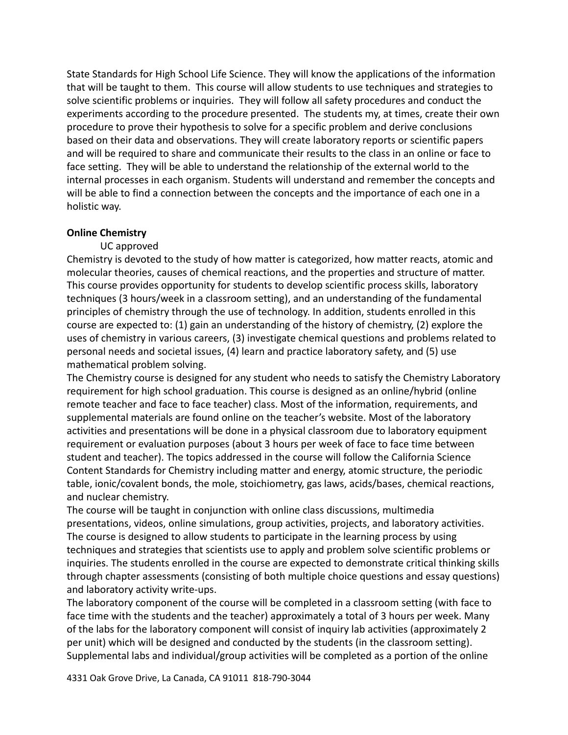State Standards for High School Life Science. They will know the applications of the information that will be taught to them. This course will allow students to use techniques and strategies to solve scientific problems or inquiries. They will follow all safety procedures and conduct the experiments according to the procedure presented. The students my, at times, create their own procedure to prove their hypothesis to solve for a specific problem and derive conclusions based on their data and observations. They will create laboratory reports or scientific papers and will be required to share and communicate their results to the class in an online or face to face setting. They will be able to understand the relationship of the external world to the internal processes in each organism. Students will understand and remember the concepts and will be able to find a connection between the concepts and the importance of each one in a holistic way.

### **Online Chemistry**

### UC approved

Chemistry is devoted to the study of how matter is categorized, how matter reacts, atomic and molecular theories, causes of chemical reactions, and the properties and structure of matter. This course provides opportunity for students to develop scientific process skills, laboratory techniques (3 hours/week in a classroom setting), and an understanding of the fundamental principles of chemistry through the use of technology. In addition, students enrolled in this course are expected to: (1) gain an understanding of the history of chemistry, (2) explore the uses of chemistry in various careers, (3) investigate chemical questions and problems related to personal needs and societal issues, (4) learn and practice laboratory safety, and (5) use mathematical problem solving.

The Chemistry course is designed for any student who needs to satisfy the Chemistry Laboratory requirement for high school graduation. This course is designed as an online/hybrid (online remote teacher and face to face teacher) class. Most of the information, requirements, and supplemental materials are found online on the teacher's website. Most of the laboratory activities and presentations will be done in a physical classroom due to laboratory equipment requirement or evaluation purposes (about 3 hours per week of face to face time between student and teacher). The topics addressed in the course will follow the California Science Content Standards for Chemistry including matter and energy, atomic structure, the periodic table, ionic/covalent bonds, the mole, stoichiometry, gas laws, acids/bases, chemical reactions, and nuclear chemistry.

The course will be taught in conjunction with online class discussions, multimedia presentations, videos, online simulations, group activities, projects, and laboratory activities. The course is designed to allow students to participate in the learning process by using techniques and strategies that scientists use to apply and problem solve scientific problems or inquiries. The students enrolled in the course are expected to demonstrate critical thinking skills through chapter assessments (consisting of both multiple choice questions and essay questions) and laboratory activity write-ups.

The laboratory component of the course will be completed in a classroom setting (with face to face time with the students and the teacher) approximately a total of 3 hours per week. Many of the labs for the laboratory component will consist of inquiry lab activities (approximately 2 per unit) which will be designed and conducted by the students (in the classroom setting). Supplemental labs and individual/group activities will be completed as a portion of the online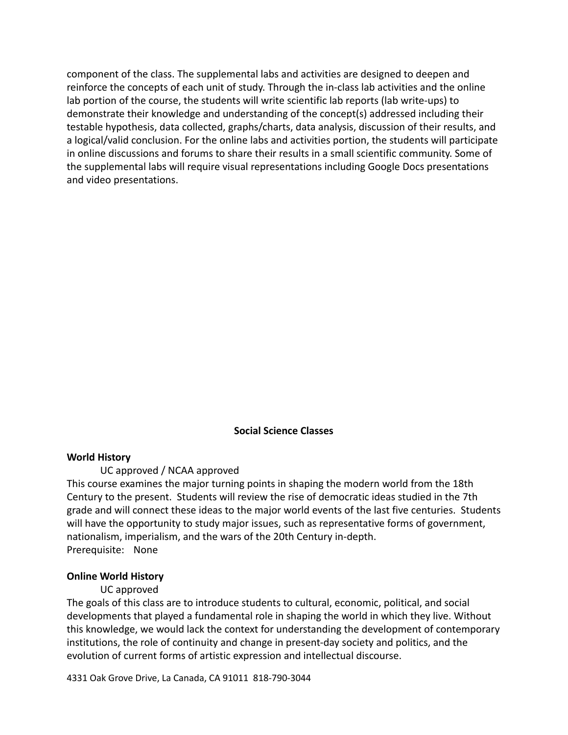component of the class. The supplemental labs and activities are designed to deepen and reinforce the concepts of each unit of study. Through the in-class lab activities and the online lab portion of the course, the students will write scientific lab reports (lab write-ups) to demonstrate their knowledge and understanding of the concept(s) addressed including their testable hypothesis, data collected, graphs/charts, data analysis, discussion of their results, and a logical/valid conclusion. For the online labs and activities portion, the students will participate in online discussions and forums to share their results in a small scientific community. Some of the supplemental labs will require visual representations including Google Docs presentations and video presentations.

#### **Social Science Classes**

#### **World History**

#### UC approved / NCAA approved

This course examines the major turning points in shaping the modern world from the 18th Century to the present. Students will review the rise of democratic ideas studied in the 7th grade and will connect these ideas to the major world events of the last five centuries. Students will have the opportunity to study major issues, such as representative forms of government, nationalism, imperialism, and the wars of the 20th Century in-depth. Prerequisite: None

#### **Online World History**

#### UC approved

The goals of this class are to introduce students to cultural, economic, political, and social developments that played a fundamental role in shaping the world in which they live. Without this knowledge, we would lack the context for understanding the development of contemporary institutions, the role of continuity and change in present-day society and politics, and the evolution of current forms of artistic expression and intellectual discourse.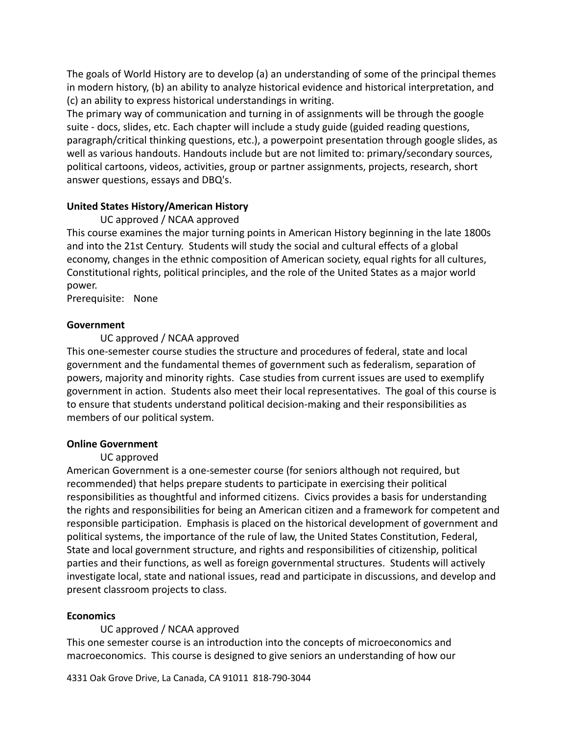The goals of World History are to develop (a) an understanding of some of the principal themes in modern history, (b) an ability to analyze historical evidence and historical interpretation, and (c) an ability to express historical understandings in writing.

The primary way of communication and turning in of assignments will be through the google suite - docs, slides, etc. Each chapter will include a study guide (guided reading questions, paragraph/critical thinking questions, etc.), a powerpoint presentation through google slides, as well as various handouts. Handouts include but are not limited to: primary/secondary sources, political cartoons, videos, activities, group or partner assignments, projects, research, short answer questions, essays and DBQ's.

## **United States History/American History**

# UC approved / NCAA approved

This course examines the major turning points in American History beginning in the late 1800s and into the 21st Century. Students will study the social and cultural effects of a global economy, changes in the ethnic composition of American society, equal rights for all cultures, Constitutional rights, political principles, and the role of the United States as a major world power.

Prerequisite: None

# **Government**

# UC approved / NCAA approved

This one-semester course studies the structure and procedures of federal, state and local government and the fundamental themes of government such as federalism, separation of powers, majority and minority rights. Case studies from current issues are used to exemplify government in action. Students also meet their local representatives. The goal of this course is to ensure that students understand political decision-making and their responsibilities as members of our political system.

# **Online Government**

# UC approved

American Government is a one-semester course (for seniors although not required, but recommended) that helps prepare students to participate in exercising their political responsibilities as thoughtful and informed citizens. Civics provides a basis for understanding the rights and responsibilities for being an American citizen and a framework for competent and responsible participation. Emphasis is placed on the historical development of government and political systems, the importance of the rule of law, the United States Constitution, Federal, State and local government structure, and rights and responsibilities of citizenship, political parties and their functions, as well as foreign governmental structures. Students will actively investigate local, state and national issues, read and participate in discussions, and develop and present classroom projects to class.

## **Economics**

UC approved / NCAA approved This one semester course is an introduction into the concepts of microeconomics and macroeconomics. This course is designed to give seniors an understanding of how our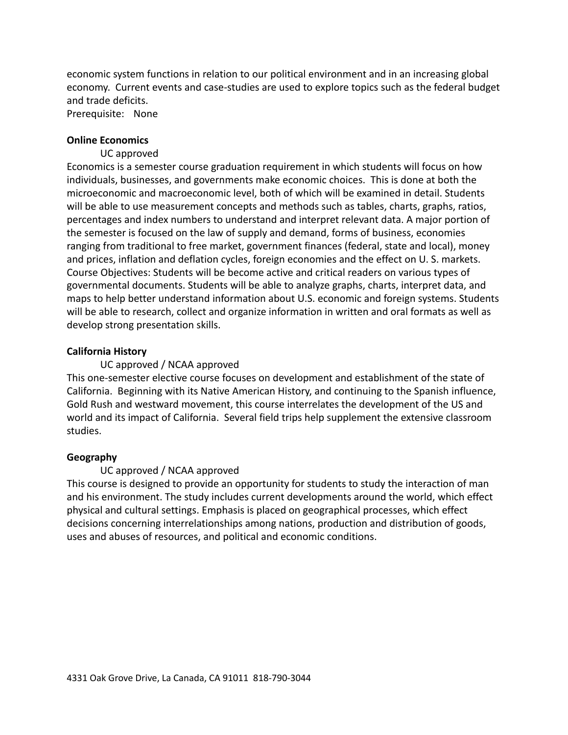economic system functions in relation to our political environment and in an increasing global economy. Current events and case-studies are used to explore topics such as the federal budget and trade deficits.

Prerequisite: None

#### **Online Economics**

### UC approved

Economics is a semester course graduation requirement in which students will focus on how individuals, businesses, and governments make economic choices. This is done at both the microeconomic and macroeconomic level, both of which will be examined in detail. Students will be able to use measurement concepts and methods such as tables, charts, graphs, ratios, percentages and index numbers to understand and interpret relevant data. A major portion of the semester is focused on the law of supply and demand, forms of business, economies ranging from traditional to free market, government finances (federal, state and local), money and prices, inflation and deflation cycles, foreign economies and the effect on U. S. markets. Course Objectives: Students will be become active and critical readers on various types of governmental documents. Students will be able to analyze graphs, charts, interpret data, and maps to help better understand information about U.S. economic and foreign systems. Students will be able to research, collect and organize information in written and oral formats as well as develop strong presentation skills.

### **California History**

## UC approved / NCAA approved

This one-semester elective course focuses on development and establishment of the state of California. Beginning with its Native American History, and continuing to the Spanish influence, Gold Rush and westward movement, this course interrelates the development of the US and world and its impact of California. Several field trips help supplement the extensive classroom studies.

#### **Geography**

#### UC approved / NCAA approved

This course is designed to provide an opportunity for students to study the interaction of man and his environment. The study includes current developments around the world, which effect physical and cultural settings. Emphasis is placed on geographical processes, which effect decisions concerning interrelationships among nations, production and distribution of goods, uses and abuses of resources, and political and economic conditions.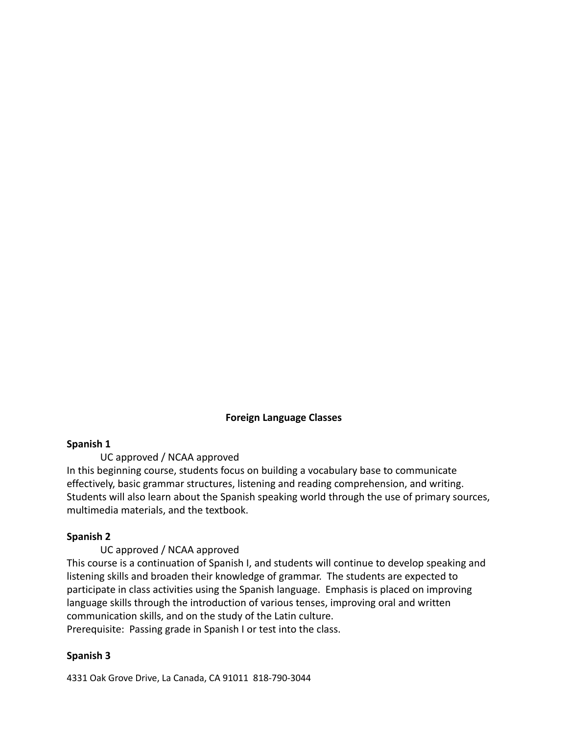## **Foreign Language Classes**

#### **Spanish 1**

UC approved / NCAA approved

In this beginning course, students focus on building a vocabulary base to communicate effectively, basic grammar structures, listening and reading comprehension, and writing. Students will also learn about the Spanish speaking world through the use of primary sources, multimedia materials, and the textbook.

## **Spanish 2**

UC approved / NCAA approved

This course is a continuation of Spanish I, and students will continue to develop speaking and listening skills and broaden their knowledge of grammar. The students are expected to participate in class activities using the Spanish language. Emphasis is placed on improving language skills through the introduction of various tenses, improving oral and written communication skills, and on the study of the Latin culture. Prerequisite: Passing grade in Spanish I or test into the class.

#### **Spanish 3**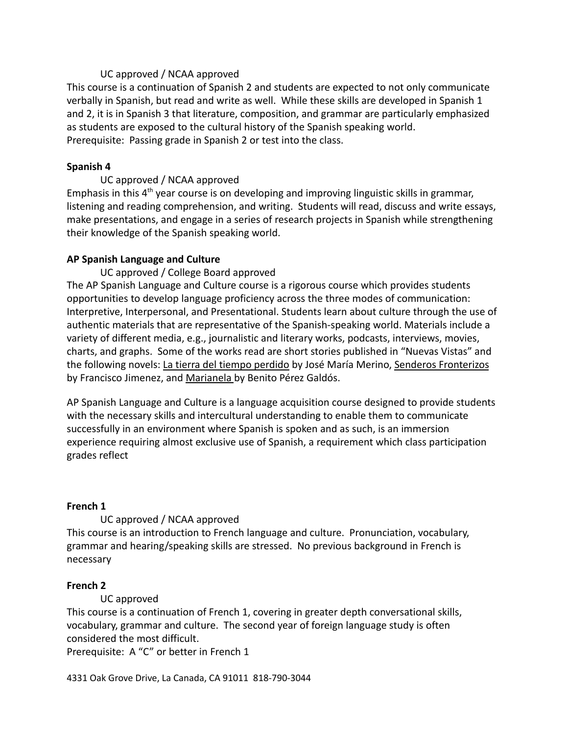## UC approved / NCAA approved

This course is a continuation of Spanish 2 and students are expected to not only communicate verbally in Spanish, but read and write as well. While these skills are developed in Spanish 1 and 2, it is in Spanish 3 that literature, composition, and grammar are particularly emphasized as students are exposed to the cultural history of the Spanish speaking world. Prerequisite: Passing grade in Spanish 2 or test into the class.

# **Spanish 4**

# UC approved / NCAA approved

Emphasis in this  $4<sup>th</sup>$  year course is on developing and improving linguistic skills in grammar, listening and reading comprehension, and writing. Students will read, discuss and write essays, make presentations, and engage in a series of research projects in Spanish while strengthening their knowledge of the Spanish speaking world.

# **AP Spanish Language and Culture**

# UC approved / College Board approved

The AP Spanish Language and Culture course is a rigorous course which provides students opportunities to develop language proficiency across the three modes of communication: Interpretive, Interpersonal, and Presentational. Students learn about culture through the use of authentic materials that are representative of the Spanish-speaking world. Materials include a variety of different media, e.g., journalistic and literary works, podcasts, interviews, movies, charts, and graphs. Some of the works read are short stories published in "Nuevas Vistas" and the following novels: La tierra del tiempo perdido by José María Merino, Senderos Fronterizos by Francisco Jimenez, and Marianela by Benito Pérez Galdós.

AP Spanish Language and Culture is a language acquisition course designed to provide students with the necessary skills and intercultural understanding to enable them to communicate successfully in an environment where Spanish is spoken and as such, is an immersion experience requiring almost exclusive use of Spanish, a requirement which class participation grades reflect

## **French 1**

# UC approved / NCAA approved

This course is an introduction to French language and culture. Pronunciation, vocabulary, grammar and hearing/speaking skills are stressed. No previous background in French is necessary

## **French 2**

# UC approved

This course is a continuation of French 1, covering in greater depth conversational skills, vocabulary, grammar and culture. The second year of foreign language study is often considered the most difficult.

Prerequisite: A "C" or better in French 1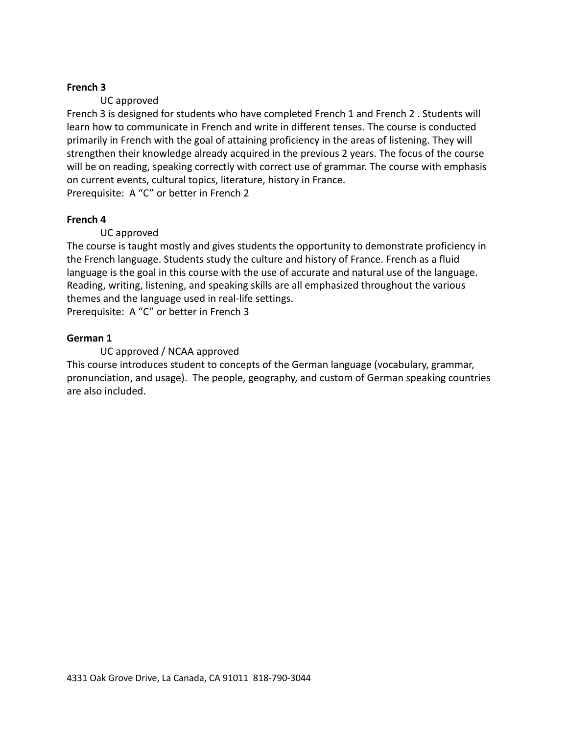## **French 3**

# UC approved

French 3 is designed for students who have completed French 1 and French 2 . Students will learn how to communicate in French and write in different tenses. The course is conducted primarily in French with the goal of attaining proficiency in the areas of listening. They will strengthen their knowledge already acquired in the previous 2 years. The focus of the course will be on reading, speaking correctly with correct use of grammar. The course with emphasis on current events, cultural topics, literature, history in France. Prerequisite: A "C" or better in French 2

## **French 4**

## UC approved

The course is taught mostly and gives students the opportunity to demonstrate proficiency in the French language. Students study the culture and history of France. French as a fluid language is the goal in this course with the use of accurate and natural use of the language. Reading, writing, listening, and speaking skills are all emphasized throughout the various themes and the language used in real-life settings.

Prerequisite: A "C" or better in French 3

## **German 1**

## UC approved / NCAA approved

This course introduces student to concepts of the German language (vocabulary, grammar, pronunciation, and usage). The people, geography, and custom of German speaking countries are also included.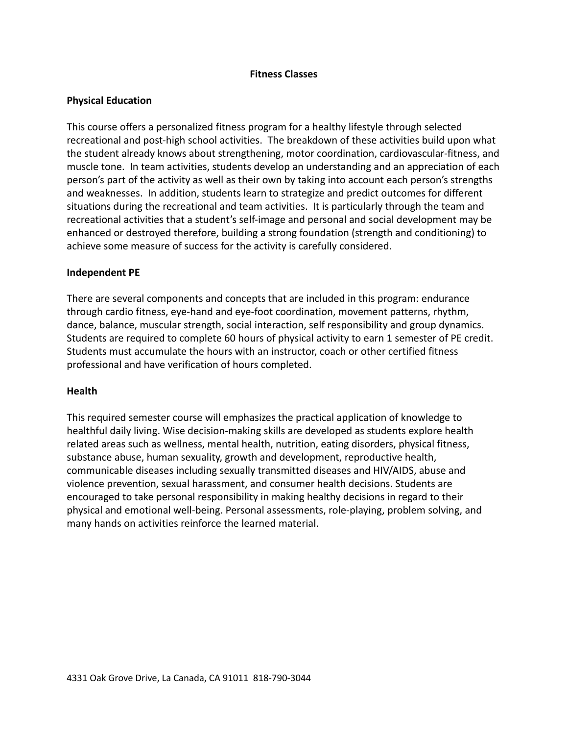## **Fitness Classes**

## **Physical Education**

This course offers a personalized fitness program for a healthy lifestyle through selected recreational and post-high school activities. The breakdown of these activities build upon what the student already knows about strengthening, motor coordination, cardiovascular-fitness, and muscle tone. In team activities, students develop an understanding and an appreciation of each person's part of the activity as well as their own by taking into account each person's strengths and weaknesses. In addition, students learn to strategize and predict outcomes for different situations during the recreational and team activities. It is particularly through the team and recreational activities that a student's self-image and personal and social development may be enhanced or destroyed therefore, building a strong foundation (strength and conditioning) to achieve some measure of success for the activity is carefully considered.

## **Independent PE**

There are several components and concepts that are included in this program: endurance through cardio fitness, eye-hand and eye-foot coordination, movement patterns, rhythm, dance, balance, muscular strength, social interaction, self responsibility and group dynamics. Students are required to complete 60 hours of physical activity to earn 1 semester of PE credit. Students must accumulate the hours with an instructor, coach or other certified fitness professional and have verification of hours completed.

## **Health**

This required semester course will emphasizes the practical application of knowledge to healthful daily living. Wise decision-making skills are developed as students explore health related areas such as wellness, mental health, nutrition, eating disorders, physical fitness, substance abuse, human sexuality, growth and development, reproductive health, communicable diseases including sexually transmitted diseases and HIV/AIDS, abuse and violence prevention, sexual harassment, and consumer health decisions. Students are encouraged to take personal responsibility in making healthy decisions in regard to their physical and emotional well-being. Personal assessments, role-playing, problem solving, and many hands on activities reinforce the learned material.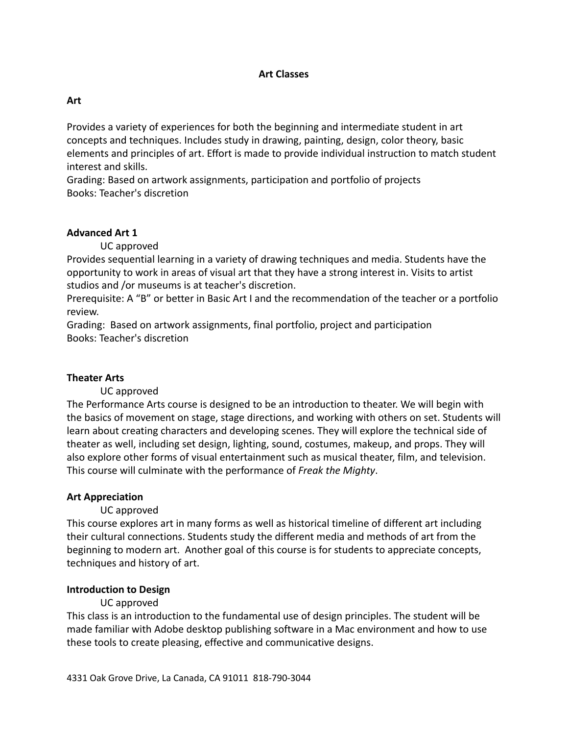### **Art Classes**

### **Art**

Provides a variety of experiences for both the beginning and intermediate student in art concepts and techniques. Includes study in drawing, painting, design, color theory, basic elements and principles of art. Effort is made to provide individual instruction to match student interest and skills.

Grading: Based on artwork assignments, participation and portfolio of projects Books: Teacher's discretion

#### **Advanced Art 1**

UC approved

Provides sequential learning in a variety of drawing techniques and media. Students have the opportunity to work in areas of visual art that they have a strong interest in. Visits to artist studios and /or museums is at teacher's discretion.

Prerequisite: A "B" or better in Basic Art I and the recommendation of the teacher or a portfolio review.

Grading: Based on artwork assignments, final portfolio, project and participation Books: Teacher's discretion

#### **Theater Arts**

UC approved

The Performance Arts course is designed to be an introduction to theater. We will begin with the basics of movement on stage, stage directions, and working with others on set. Students will learn about creating characters and developing scenes. They will explore the technical side of theater as well, including set design, lighting, sound, costumes, makeup, and props. They will also explore other forms of visual entertainment such as musical theater, film, and television. This course will culminate with the performance of *Freak the Mighty*.

#### **Art Appreciation**

UC approved

This course explores art in many forms as well as historical timeline of different art including their cultural connections. Students study the different media and methods of art from the beginning to modern art. Another goal of this course is for students to appreciate concepts, techniques and history of art.

#### **Introduction to Design**

#### UC approved

This class is an introduction to the fundamental use of design principles. The student will be made familiar with Adobe desktop publishing software in a Mac environment and how to use these tools to create pleasing, effective and communicative designs.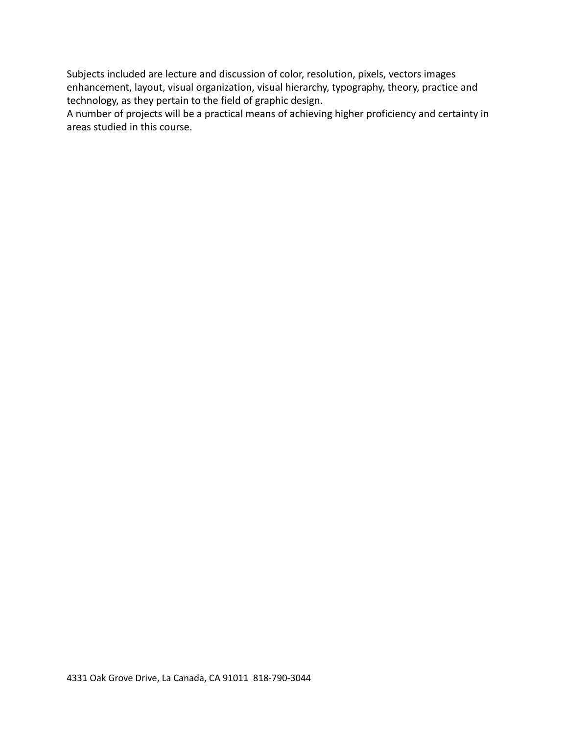Subjects included are lecture and discussion of color, resolution, pixels, vectors images enhancement, layout, visual organization, visual hierarchy, typography, theory, practice and technology, as they pertain to the field of graphic design.

A number of projects will be a practical means of achieving higher proficiency and certainty in areas studied in this course.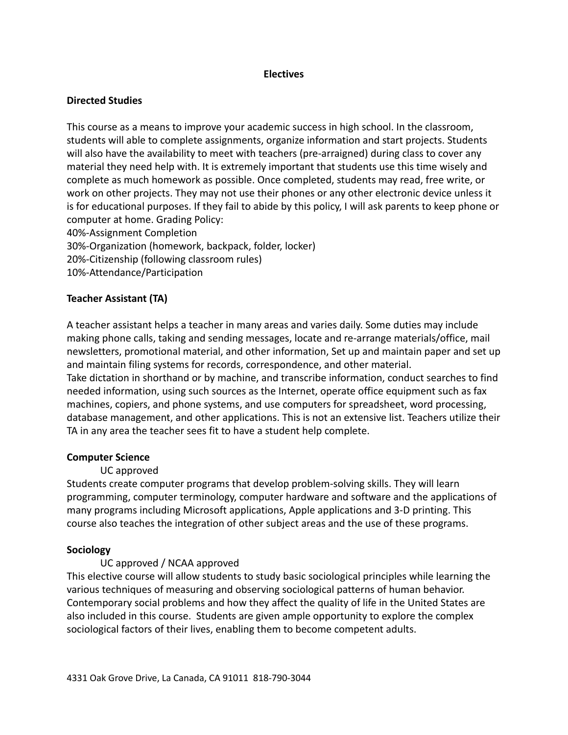### **Electives**

## **Directed Studies**

This course as a means to improve your academic success in high school. In the classroom, students will able to complete assignments, organize information and start projects. Students will also have the availability to meet with teachers (pre-arraigned) during class to cover any material they need help with. It is extremely important that students use this time wisely and complete as much homework as possible. Once completed, students may read, free write, or work on other projects. They may not use their phones or any other electronic device unless it is for educational purposes. If they fail to abide by this policy, I will ask parents to keep phone or computer at home. Grading Policy: 40%-Assignment Completion

30%-Organization (homework, backpack, folder, locker) 20%-Citizenship (following classroom rules)

TA in any area the teacher sees fit to have a student help complete.

10%-Attendance/Participation

# **Teacher Assistant (TA)**

A teacher assistant helps a teacher in many areas and varies daily. Some duties may include making phone calls, taking and sending messages, locate and re-arrange materials/office, mail newsletters, promotional material, and other information, Set up and maintain paper and set up and maintain filing systems for records, correspondence, and other material. Take dictation in shorthand or by machine, and transcribe information, conduct searches to find needed information, using such sources as the Internet, operate office equipment such as fax machines, copiers, and phone systems, and use computers for spreadsheet, word processing, database management, and other applications. This is not an extensive list. Teachers utilize their

## **Computer Science**

## UC approved

Students create computer programs that develop problem-solving skills. They will learn programming, computer terminology, computer hardware and software and the applications of many programs including Microsoft applications, Apple applications and 3-D printing. This course also teaches the integration of other subject areas and the use of these programs.

## **Sociology**

## UC approved / NCAA approved

This elective course will allow students to study basic sociological principles while learning the various techniques of measuring and observing sociological patterns of human behavior. Contemporary social problems and how they affect the quality of life in the United States are also included in this course. Students are given ample opportunity to explore the complex sociological factors of their lives, enabling them to become competent adults.